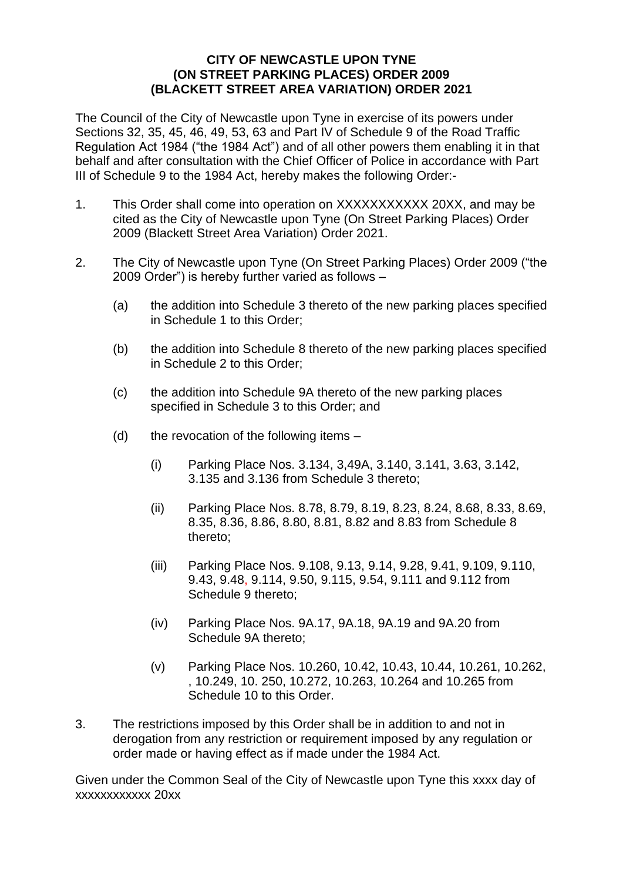#### **CITY OF NEWCASTLE UPON TYNE (ON STREET PARKING PLACES) ORDER 2009 (BLACKETT STREET AREA VARIATION) ORDER 2021**

The Council of the City of Newcastle upon Tyne in exercise of its powers under Sections 32, 35, 45, 46, 49, 53, 63 and Part IV of Schedule 9 of the Road Traffic Regulation Act 1984 ("the 1984 Act") and of all other powers them enabling it in that behalf and after consultation with the Chief Officer of Police in accordance with Part III of Schedule 9 to the 1984 Act, hereby makes the following Order:-

- 1. This Order shall come into operation on XXXXXXXXXXX 20XX, and may be cited as the City of Newcastle upon Tyne (On Street Parking Places) Order 2009 (Blackett Street Area Variation) Order 2021.
- 2. The City of Newcastle upon Tyne (On Street Parking Places) Order 2009 ("the 2009 Order") is hereby further varied as follows –
	- (a) the addition into Schedule 3 thereto of the new parking places specified in Schedule 1 to this Order;
	- (b) the addition into Schedule 8 thereto of the new parking places specified in Schedule 2 to this Order;
	- (c) the addition into Schedule 9A thereto of the new parking places specified in Schedule 3 to this Order; and
	- (d) the revocation of the following items  $-$ 
		- (i) Parking Place Nos. 3.134, 3,49A, 3.140, 3.141, 3.63, 3.142, 3.135 and 3.136 from Schedule 3 thereto;
		- (ii) Parking Place Nos. 8.78, 8.79, 8.19, 8.23, 8.24, 8.68, 8.33, 8.69, 8.35, 8.36, 8.86, 8.80, 8.81, 8.82 and 8.83 from Schedule 8 thereto;
		- (iii) Parking Place Nos. 9.108, 9.13, 9.14, 9.28, 9.41, 9.109, 9.110, 9.43, 9.48, 9.114, 9.50, 9.115, 9.54, 9.111 and 9.112 from Schedule 9 thereto;
		- (iv) Parking Place Nos. 9A.17, 9A.18, 9A.19 and 9A.20 from Schedule 9A thereto;
		- (v) Parking Place Nos. 10.260, 10.42, 10.43, 10.44, 10.261, 10.262, , 10.249, 10. 250, 10.272, 10.263, 10.264 and 10.265 from Schedule 10 to this Order.
- 3. The restrictions imposed by this Order shall be in addition to and not in derogation from any restriction or requirement imposed by any regulation or order made or having effect as if made under the 1984 Act.

Given under the Common Seal of the City of Newcastle upon Tyne this xxxx day of xxxxxxxxxxxx 20xx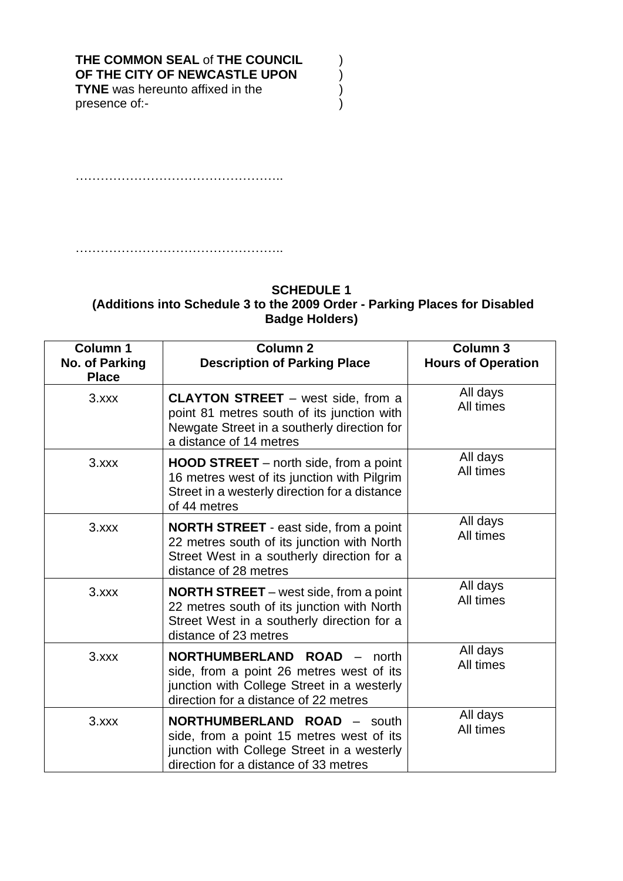**THE COMMON SEAL** of **THE COUNCIL** ) **OF THE CITY OF NEWCASTLE UPON**  $\qquad$  )<br> **TYNE** was hereunto affixed in the **TYNE** was hereunto affixed in the presence of:- (a)

…………………………………………..

…………………………………………..

#### **SCHEDULE 1**

### **(Additions into Schedule 3 to the 2009 Order - Parking Places for Disabled Badge Holders)**

| <b>Column 1</b><br><b>No. of Parking</b><br><b>Place</b> | <b>Column 2</b><br><b>Description of Parking Place</b>                                                                                                                                      | <b>Column 3</b><br><b>Hours of Operation</b> |
|----------------------------------------------------------|---------------------------------------------------------------------------------------------------------------------------------------------------------------------------------------------|----------------------------------------------|
| $3.$ $xxx$                                               | <b>CLAYTON STREET</b> – west side, from a<br>point 81 metres south of its junction with<br>Newgate Street in a southerly direction for<br>a distance of 14 metres                           | All days<br>All times                        |
| 3.xxx                                                    | <b>HOOD STREET</b> – north side, from a point<br>16 metres west of its junction with Pilgrim<br>Street in a westerly direction for a distance<br>of 44 metres                               | All days<br>All times                        |
| $3.$ xxx                                                 | <b>NORTH STREET</b> - east side, from a point<br>22 metres south of its junction with North<br>Street West in a southerly direction for a<br>distance of 28 metres                          | All days<br>All times                        |
| 3.xxx                                                    | <b>NORTH STREET</b> – west side, from a point<br>22 metres south of its junction with North<br>Street West in a southerly direction for a<br>distance of 23 metres                          | All days<br>All times                        |
| 3.xxx                                                    | NORTHUMBERLAND ROAD<br>north<br>$\overline{\phantom{0}}$<br>side, from a point 26 metres west of its<br>junction with College Street in a westerly<br>direction for a distance of 22 metres | All days<br>All times                        |
| 3.xxx                                                    | <b>NORTHUMBERLAND ROAD - south</b><br>side, from a point 15 metres west of its<br>junction with College Street in a westerly<br>direction for a distance of 33 metres                       | All days<br>All times                        |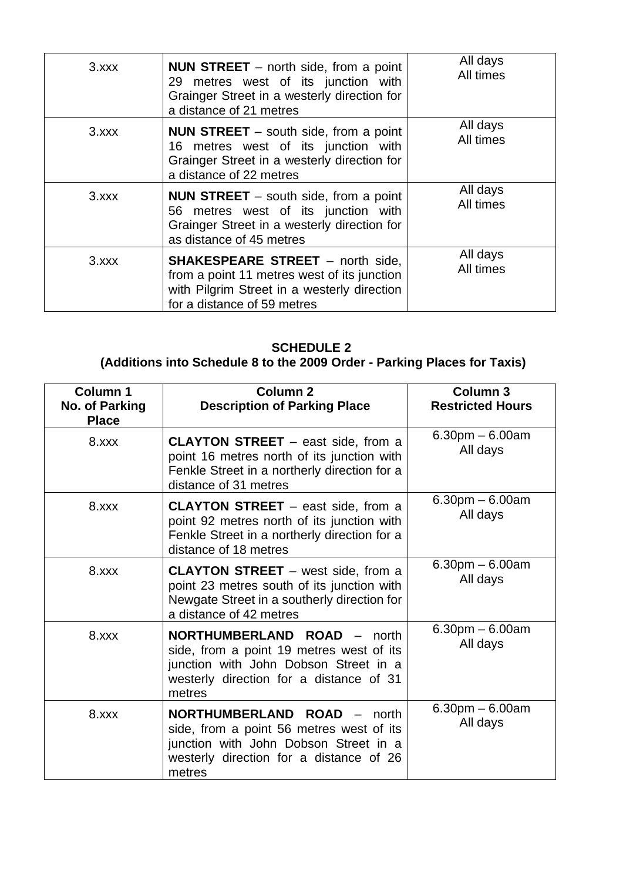| $3.$ $xxx$ | <b>NUN STREET</b> $-$ north side, from a point<br>29 metres west of its junction with<br>Grainger Street in a westerly direction for<br>a distance of 21 metres      | All days<br>All times |
|------------|----------------------------------------------------------------------------------------------------------------------------------------------------------------------|-----------------------|
| $3.$ $xxx$ | <b>NUN STREET</b> $-$ south side, from a point<br>16 metres west of its junction with<br>Grainger Street in a westerly direction for<br>a distance of 22 metres      | All days<br>All times |
| $3.$ $xxx$ | <b>NUN STREET</b> $-$ south side, from a point<br>56 metres west of its junction with<br>Grainger Street in a westerly direction for<br>as distance of 45 metres     | All days<br>All times |
| $3.$ $xxx$ | <b>SHAKESPEARE STREET</b> – north side,<br>from a point 11 metres west of its junction<br>with Pilgrim Street in a westerly direction<br>for a distance of 59 metres | All days<br>All times |

## **SCHEDULE 2**

# **(Additions into Schedule 8 to the 2009 Order - Parking Places for Taxis)**

| <b>Column 1</b><br><b>No. of Parking</b><br><b>Place</b> | <b>Column 2</b><br><b>Description of Parking Place</b>                                                                                                                       | <b>Column 3</b><br><b>Restricted Hours</b>    |
|----------------------------------------------------------|------------------------------------------------------------------------------------------------------------------------------------------------------------------------------|-----------------------------------------------|
| 8.XXX                                                    | <b>CLAYTON STREET</b> – east side, from a<br>point 16 metres north of its junction with<br>Fenkle Street in a northerly direction for a<br>distance of 31 metres             | $6.30pm - 6.00am$<br>All days                 |
| 8.XXX                                                    | <b>CLAYTON STREET</b> – east side, from a<br>point 92 metres north of its junction with<br>Fenkle Street in a northerly direction for a<br>distance of 18 metres             | $6.30 \text{pm} - 6.00 \text{am}$<br>All days |
| 8.XXX                                                    | <b>CLAYTON STREET</b> – west side, from a<br>point 23 metres south of its junction with<br>Newgate Street in a southerly direction for<br>a distance of 42 metres            | $6.30 \text{pm} - 6.00 \text{am}$<br>All days |
| 8.XXX                                                    | <b>NORTHUMBERLAND ROAD - north</b><br>side, from a point 19 metres west of its<br>junction with John Dobson Street in a<br>westerly direction for a distance of 31<br>metres | $6.30pm - 6.00am$<br>All days                 |
| 8.xxx                                                    | NORTHUMBERLAND ROAD<br>– north<br>side, from a point 56 metres west of its<br>junction with John Dobson Street in a<br>westerly direction for a distance of 26<br>metres     | $6.30pm - 6.00am$<br>All days                 |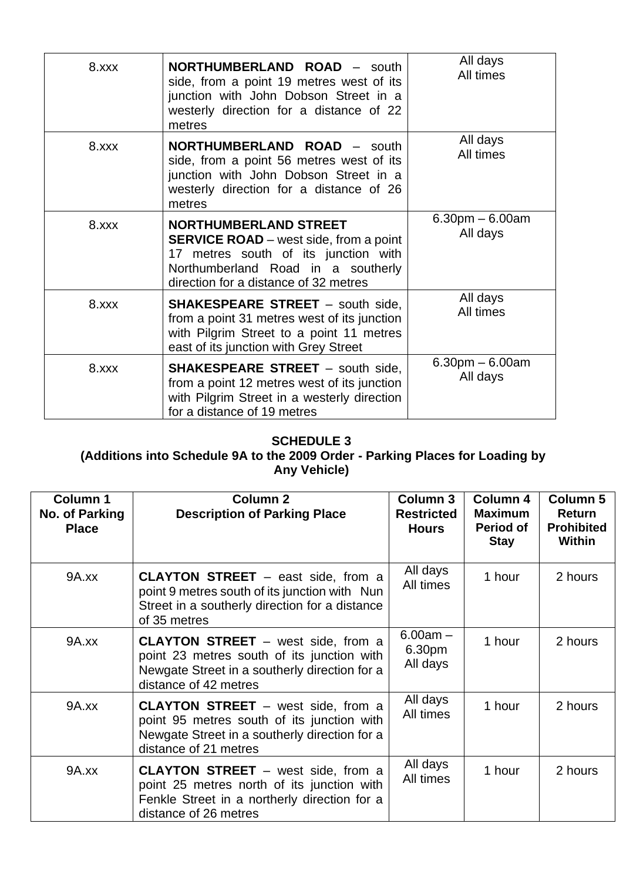| 8.XXX | <b>NORTHUMBERLAND ROAD - south</b><br>side, from a point 19 metres west of its<br>junction with John Dobson Street in a<br>westerly direction for a distance of 22<br>metres                         | All days<br>All times         |
|-------|------------------------------------------------------------------------------------------------------------------------------------------------------------------------------------------------------|-------------------------------|
| 8.XXX | <b>NORTHUMBERLAND ROAD - south</b><br>side, from a point 56 metres west of its<br>junction with John Dobson Street in a<br>westerly direction for a distance of 26<br>metres                         | All days<br>All times         |
| 8.xxx | <b>NORTHUMBERLAND STREET</b><br><b>SERVICE ROAD</b> – west side, from a point<br>17 metres south of its junction with<br>Northumberland Road in a southerly<br>direction for a distance of 32 metres | $6.30pm - 6.00am$<br>All days |
| 8.XXX | <b>SHAKESPEARE STREET</b> – south side,<br>from a point 31 metres west of its junction<br>with Pilgrim Street to a point 11 metres<br>east of its junction with Grey Street                          | All days<br>All times         |
| 8.xxx | <b>SHAKESPEARE STREET</b> – south side,<br>from a point 12 metres west of its junction<br>with Pilgrim Street in a westerly direction<br>for a distance of 19 metres                                 | $6.30pm - 6.00am$<br>All days |

## **SCHEDULE 3**

## **(Additions into Schedule 9A to the 2009 Order - Parking Places for Loading by Any Vehicle)**

| <b>Column 1</b><br>No. of Parking<br><b>Place</b> | Column <sub>2</sub><br><b>Description of Parking Place</b>                                                                                                        | Column 3<br><b>Restricted</b><br><b>Hours</b> | Column 4<br><b>Maximum</b><br><b>Period of</b><br><b>Stay</b> | Column <sub>5</sub><br>Return<br><b>Prohibited</b><br>Within |
|---------------------------------------------------|-------------------------------------------------------------------------------------------------------------------------------------------------------------------|-----------------------------------------------|---------------------------------------------------------------|--------------------------------------------------------------|
| 9A.xx                                             | <b>CLAYTON STREET</b> – east side, from a<br>point 9 metres south of its junction with Nun<br>Street in a southerly direction for a distance<br>of 35 metres      | All days<br>All times                         | 1 hour                                                        | 2 hours                                                      |
| 9A.xx                                             | <b>CLAYTON STREET</b> – west side, from a<br>point 23 metres south of its junction with<br>Newgate Street in a southerly direction for a<br>distance of 42 metres | $6.00am -$<br>6.30pm<br>All days              | 1 hour                                                        | 2 hours                                                      |
| 9A.xx                                             | <b>CLAYTON STREET</b> – west side, from a<br>point 95 metres south of its junction with<br>Newgate Street in a southerly direction for a<br>distance of 21 metres | All days<br>All times                         | 1 hour                                                        | 2 hours                                                      |
| 9A.xx                                             | <b>CLAYTON STREET</b> – west side, from a<br>point 25 metres north of its junction with<br>Fenkle Street in a northerly direction for a<br>distance of 26 metres  | All days<br>All times                         | 1 hour                                                        | 2 hours                                                      |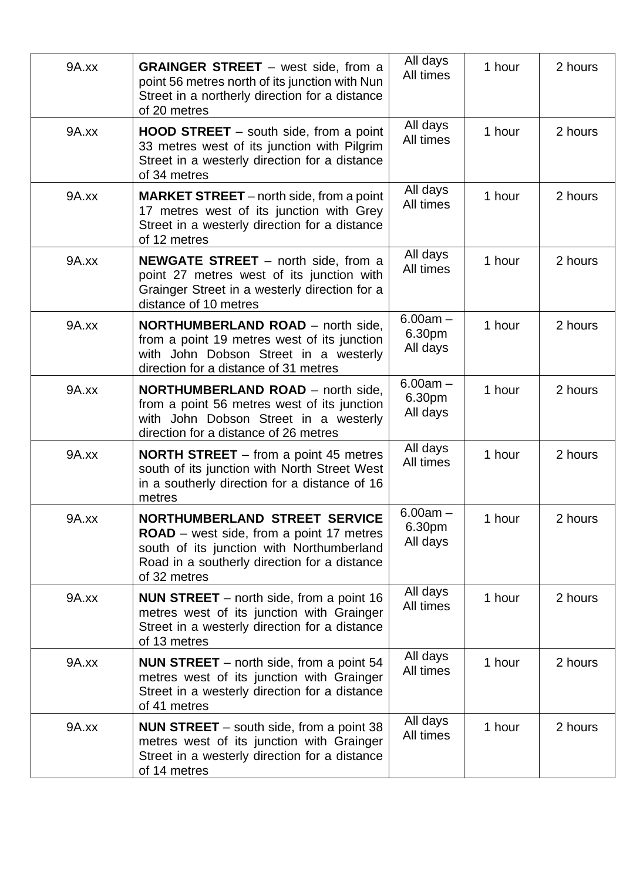| 9A.xx | <b>GRAINGER STREET</b> - west side, from a<br>point 56 metres north of its junction with Nun<br>Street in a northerly direction for a distance<br>of 20 metres                                | All days<br>All times            | 1 hour | 2 hours |
|-------|-----------------------------------------------------------------------------------------------------------------------------------------------------------------------------------------------|----------------------------------|--------|---------|
| 9A.xx | <b>HOOD STREET</b> – south side, from a point<br>33 metres west of its junction with Pilgrim<br>Street in a westerly direction for a distance<br>of 34 metres                                 | All days<br>All times            | 1 hour | 2 hours |
| 9A.xx | <b>MARKET STREET</b> – north side, from a point<br>17 metres west of its junction with Grey<br>Street in a westerly direction for a distance<br>of 12 metres                                  | All days<br>All times            | 1 hour | 2 hours |
| 9A.xx | <b>NEWGATE STREET</b> - north side, from a<br>point 27 metres west of its junction with<br>Grainger Street in a westerly direction for a<br>distance of 10 metres                             | All days<br>All times            | 1 hour | 2 hours |
| 9A.xx | <b>NORTHUMBERLAND ROAD</b> – north side,<br>from a point 19 metres west of its junction<br>with John Dobson Street in a westerly<br>direction for a distance of 31 metres                     | $6.00am -$<br>6.30pm<br>All days | 1 hour | 2 hours |
| 9A.xx | <b>NORTHUMBERLAND ROAD</b> – north side,<br>from a point 56 metres west of its junction<br>with John Dobson Street in a westerly<br>direction for a distance of 26 metres                     | $6.00am -$<br>6.30pm<br>All days | 1 hour | 2 hours |
| 9A.xx | <b>NORTH STREET</b> – from a point 45 metres<br>south of its junction with North Street West<br>in a southerly direction for a distance of 16<br>metres                                       | All days<br>All times            | 1 hour | 2 hours |
| 9A.xx | NORTHUMBERLAND STREET SERVICE<br><b>ROAD</b> – west side, from a point 17 metres<br>south of its junction with Northumberland<br>Road in a southerly direction for a distance<br>of 32 metres | $6.00am -$<br>6.30pm<br>All days | 1 hour | 2 hours |
| 9A.xx | <b>NUN STREET</b> – north side, from a point 16<br>metres west of its junction with Grainger<br>Street in a westerly direction for a distance<br>of 13 metres                                 | All days<br>All times            | 1 hour | 2 hours |
| 9A.xx | <b>NUN STREET</b> – north side, from a point 54<br>metres west of its junction with Grainger<br>Street in a westerly direction for a distance<br>of 41 metres                                 | All days<br>All times            | 1 hour | 2 hours |
| 9A.xx | <b>NUN STREET</b> – south side, from a point 38<br>metres west of its junction with Grainger<br>Street in a westerly direction for a distance<br>of 14 metres                                 | All days<br>All times            | 1 hour | 2 hours |